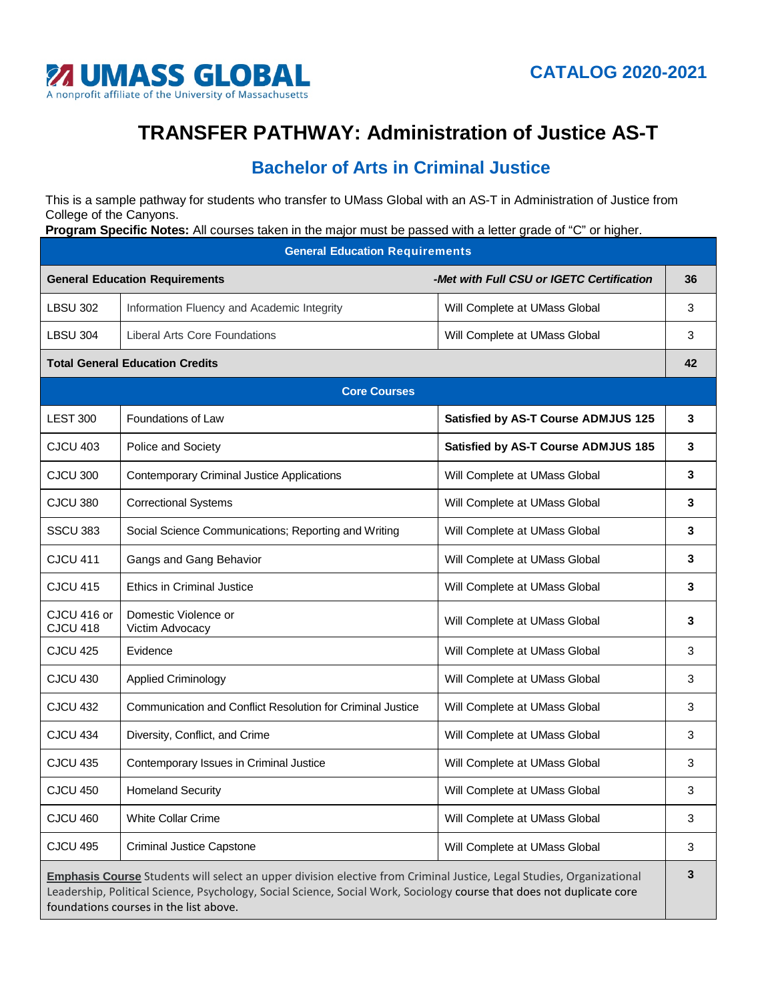

## **TRANSFER PATHWAY: Administration of Justice AS-T**

## **Bachelor of Arts in Criminal Justice**

This is a sample pathway for students who transfer to UMass Global with an AS-T in Administration of Justice from College of the Canyons.

**Program Specific Notes:** All courses taken in the major must be passed with a letter grade of "C" or higher.

| <b>General Education Requirements</b>                                                                                                                                                                                                                                                   |                                                            |                                            |    |  |
|-----------------------------------------------------------------------------------------------------------------------------------------------------------------------------------------------------------------------------------------------------------------------------------------|------------------------------------------------------------|--------------------------------------------|----|--|
| <b>General Education Requirements</b>                                                                                                                                                                                                                                                   |                                                            | -Met with Full CSU or IGETC Certification  | 36 |  |
| <b>LBSU 302</b>                                                                                                                                                                                                                                                                         | Information Fluency and Academic Integrity                 | Will Complete at UMass Global              | 3  |  |
| <b>LBSU 304</b>                                                                                                                                                                                                                                                                         | <b>Liberal Arts Core Foundations</b>                       | Will Complete at UMass Global              | 3  |  |
| <b>Total General Education Credits</b>                                                                                                                                                                                                                                                  |                                                            |                                            | 42 |  |
| <b>Core Courses</b>                                                                                                                                                                                                                                                                     |                                                            |                                            |    |  |
| <b>LEST 300</b>                                                                                                                                                                                                                                                                         | Foundations of Law                                         | <b>Satisfied by AS-T Course ADMJUS 125</b> | 3  |  |
| <b>CJCU 403</b>                                                                                                                                                                                                                                                                         | Police and Society                                         | <b>Satisfied by AS-T Course ADMJUS 185</b> | 3  |  |
| CJCU 300                                                                                                                                                                                                                                                                                | <b>Contemporary Criminal Justice Applications</b>          | Will Complete at UMass Global              | 3  |  |
| CJCU 380                                                                                                                                                                                                                                                                                | <b>Correctional Systems</b>                                | Will Complete at UMass Global              | 3  |  |
| SSCU 383                                                                                                                                                                                                                                                                                | Social Science Communications; Reporting and Writing       | Will Complete at UMass Global              | 3  |  |
| <b>CJCU 411</b>                                                                                                                                                                                                                                                                         | Gangs and Gang Behavior                                    | Will Complete at UMass Global              | 3  |  |
| <b>CJCU 415</b>                                                                                                                                                                                                                                                                         | <b>Ethics in Criminal Justice</b>                          | Will Complete at UMass Global              | 3  |  |
| CJCU 416 or<br><b>CJCU 418</b>                                                                                                                                                                                                                                                          | Domestic Violence or<br>Victim Advocacy                    | Will Complete at UMass Global              | 3  |  |
| <b>CJCU 425</b>                                                                                                                                                                                                                                                                         | Evidence                                                   | Will Complete at UMass Global              | 3  |  |
| CJCU 430                                                                                                                                                                                                                                                                                | <b>Applied Criminology</b>                                 | Will Complete at UMass Global              | 3  |  |
| CJCU 432                                                                                                                                                                                                                                                                                | Communication and Conflict Resolution for Criminal Justice | Will Complete at UMass Global              | 3  |  |
| CJCU 434                                                                                                                                                                                                                                                                                | Diversity, Conflict, and Crime                             | Will Complete at UMass Global              | 3  |  |
| <b>CJCU 435</b>                                                                                                                                                                                                                                                                         | Contemporary Issues in Criminal Justice                    | Will Complete at UMass Global              | 3  |  |
| CJCU 450                                                                                                                                                                                                                                                                                | <b>Homeland Security</b>                                   | Will Complete at UMass Global              | 3  |  |
| CJCU 460                                                                                                                                                                                                                                                                                | White Collar Crime                                         | Will Complete at UMass Global              | 3  |  |
| <b>CJCU 495</b>                                                                                                                                                                                                                                                                         | <b>Criminal Justice Capstone</b>                           | Will Complete at UMass Global              | 3  |  |
| Emphasis Course Students will select an upper division elective from Criminal Justice, Legal Studies, Organizational<br>Leadership, Political Science, Psychology, Social Science, Social Work, Sociology course that does not duplicate core<br>foundations courses in the list above. |                                                            |                                            |    |  |